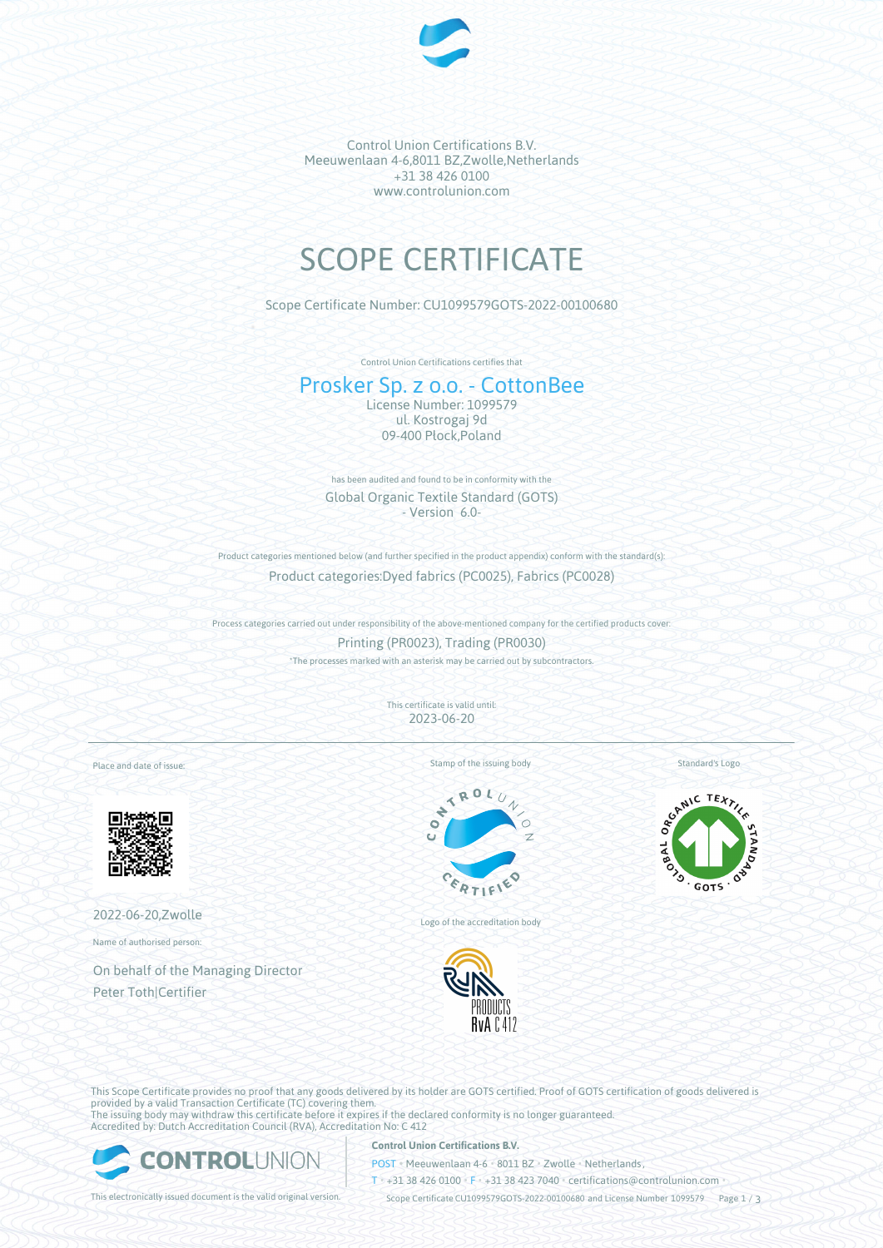

Control Union Certifications B.V. Meeuwenlaan 4-6,8011 BZ,Zwolle,Netherlands +31 38 426 0100 www.controlunion.com

# SCOPE CERTIFICATE

Scope Certificate Number: CU1099579GOTS-2022-00100680

Control Union Certifications certifies that

# Prosker Sp. z o.o. - CottonBee License Number: 1099579 ul. Kostrogaj 9d

09-400 Płock,Poland

has been audited and found to be in conformity with the Global Organic Textile Standard (GOTS) - Version 6.0-

Product categories mentioned below (and further specified in the product appendix) conform with the standard(s): Product categories:Dyed fabrics (PC0025), Fabrics (PC0028)

Process categories carried out under responsibility of the above-mentioned company for the certified products cover: Printing (PR0023), Trading (PR0030) \*The processes marked with an asterisk may be carried out by subcontractors.

> This certificate is valid until: 2023-06-20

Place and date of issue:



2022-06-20,Zwolle

Name of authorised person:

On behalf of the Managing Director Peter Toth|Certifier

Stamp of the issuing body

Standard's Logo



Logo of the accreditation body



SEAMIC TEXT **GOTS** 

This Scope Certificate provides no proof that any goods delivered by its holder are GOTS certified. Proof of GOTS certification of goods delivered is provided by a valid Transaction Certificate (TC) covering them. The issuing body may withdraw this certificate before it expires if the declared conformity is no longer guaranteed. Accredited by: Dutch Accreditation Council (RVA), Accreditation No: C 412



**Control Union Certifications B.V.**

POST • Meeuwenlaan 4-6 • 8011 BZ • Zwolle • Netherlands,

T • +31 38 426 0100 • F • +31 38 423 7040 • certifications@controlunion.com •

This electronically issued document is the valid original version. Scope Certificate CU1099579GOTS-2022-00100680 and License Number 1099579 Page 1 / 3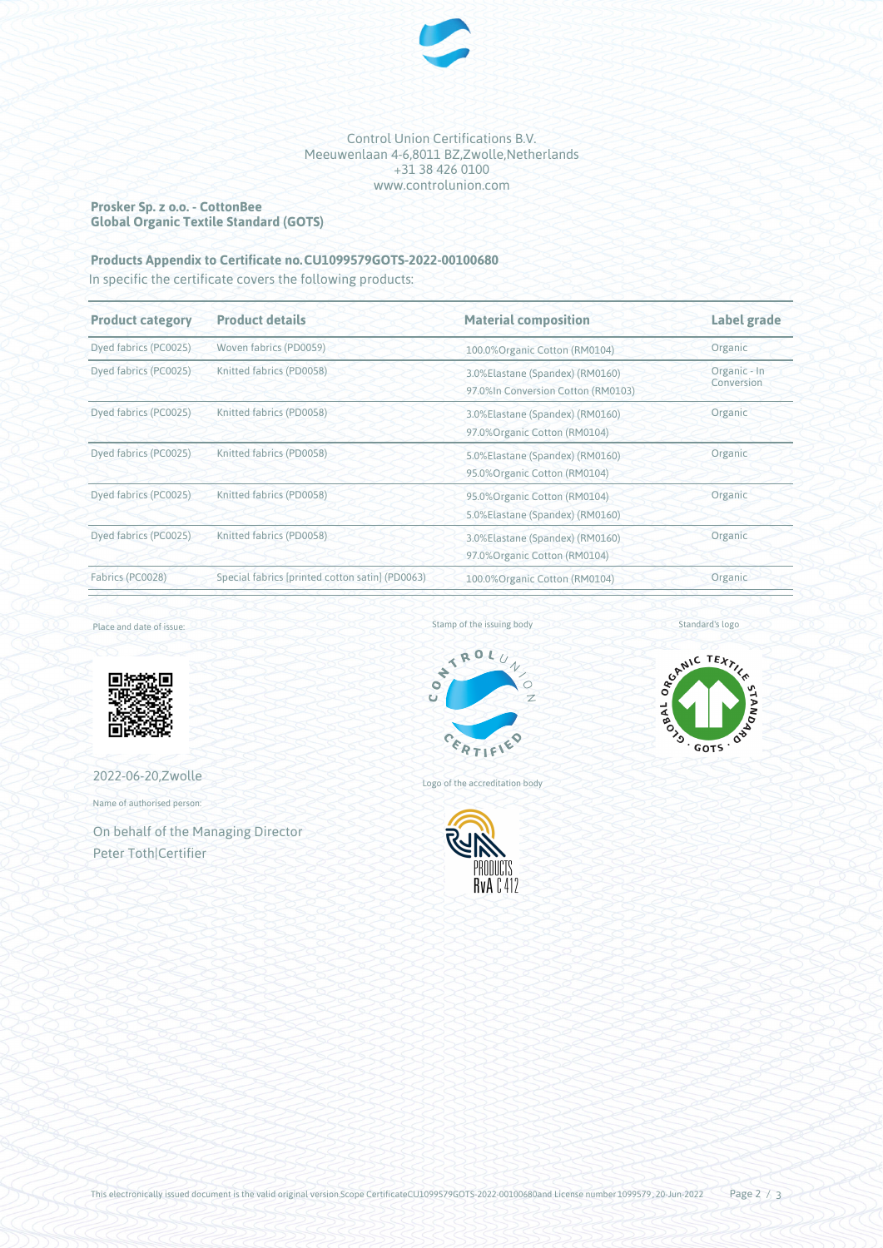

Control Union Certifications B.V. Meeuwenlaan 4-6,8011 BZ,Zwolle,Netherlands +31 38 426 0100 www.controlunion.com

#### **Prosker Sp. z o.o. - CottonBee Global Organic Textile Standard (GOTS)**

# **Products Appendix to Certificate no.CU1099579GOTS-2022-00100680**

In specific the certificate covers the following products:

| <b>Product category</b> | <b>Product details</b>                          | <b>Material composition</b>                                           | Label grade                |
|-------------------------|-------------------------------------------------|-----------------------------------------------------------------------|----------------------------|
| Dyed fabrics (PC0025)   | Woven fabrics (PD0059)                          | 100.0% Organic Cotton (RM0104)                                        | Organic                    |
| Dyed fabrics (PC0025)   | Knitted fabrics (PD0058)                        | 3.0%Elastane (Spandex) (RM0160)<br>97.0%In Conversion Cotton (RM0103) | Organic - In<br>Conversion |
| Dyed fabrics (PC0025)   | Knitted fabrics (PD0058)                        | 3.0%Elastane (Spandex) (RM0160)<br>97.0% Organic Cotton (RM0104)      | Organic                    |
| Dyed fabrics (PC0025)   | Knitted fabrics (PD0058)                        | 5.0%Elastane (Spandex) (RM0160)<br>95.0% Organic Cotton (RM0104)      | Organic                    |
| Dyed fabrics (PC0025)   | Knitted fabrics (PD0058)                        | 95.0% Organic Cotton (RM0104)<br>5.0%Elastane (Spandex) (RM0160)      | Organic                    |
| Dyed fabrics (PC0025)   | Knitted fabrics (PD0058)                        | 3.0%Elastane (Spandex) (RM0160)<br>97.0% Organic Cotton (RM0104)      | Organic                    |
| Fabrics (PC0028)        | Special fabrics (printed cotton satin) (PD0063) | 100.0%Organic Cotton (RM0104)                                         | Organic                    |

Place and date of issue:



2022-06-20,Zwolle

Name of authorised person:

On behalf of the Managing Director Peter Toth|Certifier



Logo of the accreditation body



Standard's logo